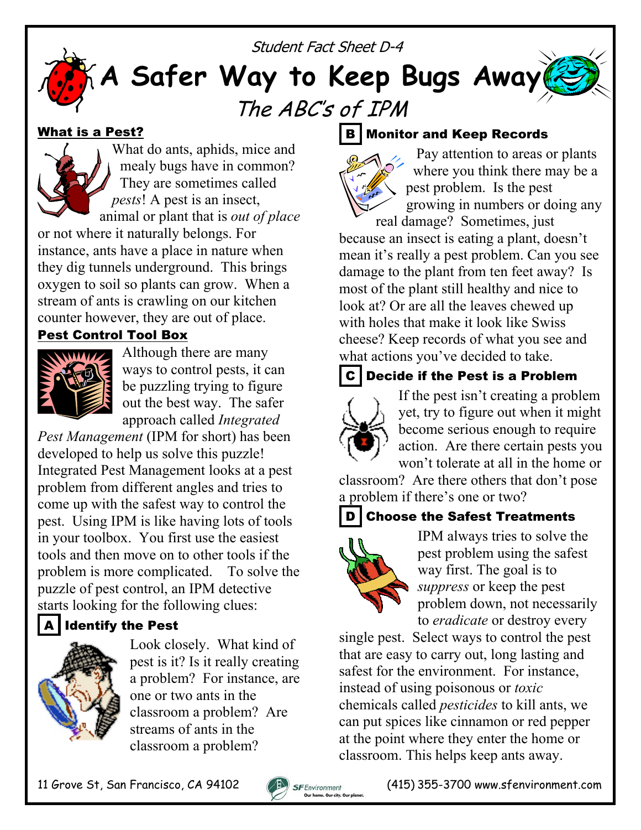# Student Fact Sheet D-4 **A Safer Way to Keep Bugs Away**  The ABC's of IPM

What do ants, aphids, mice and mealy bugs have in common? They are sometimes called *pests*! A pest is an insect, animal or plant that is *out of place*

or not where it naturally belongs. For instance, ants have a place in nature when they dig tunnels underground. This brings oxygen to soil so plants can grow. When a stream of ants is crawling on our kitchen counter however, they are out of place.

### Pest Control Tool Box



Although there are many ways to control pests, it can be puzzling trying to figure out the best way. The safer approach called *Integrated* 

*Pest Management* (IPM for short) has been developed to help us solve this puzzle! Integrated Pest Management looks at a pest problem from different angles and tries to come up with the safest way to control the pest. Using IPM is like having lots of tools in your toolbox. You first use the easiest tools and then move on to other tools if the problem is more complicated. To solve the puzzle of pest control, an IPM detective starts looking for the following clues:



Look closely. What kind of pest is it? Is it really creating a problem? For instance, are one or two ants in the classroom a problem? Are streams of ants in the classroom a problem?

# What is a Pest? B Monitor and Keep Records



 Pay attention to areas or plants where you think there may be a pest problem. Is the pest growing in numbers or doing any real damage? Sometimes, just

because an insect is eating a plant, doesn't mean it's really a pest problem. Can you see damage to the plant from ten feet away? Is most of the plant still healthy and nice to look at? Or are all the leaves chewed up with holes that make it look like Swiss cheese? Keep records of what you see and what actions you've decided to take.

## C Decide if the Pest is a Problem



If the pest isn't creating a problem yet, try to figure out when it might become serious enough to require action. Are there certain pests you won't tolerate at all in the home or

classroom? Are there others that don't pose a problem if there's one or two?

# **Choose the Safest Treatments**



IPM always tries to solve the pest problem using the safest way first. The goal is to *suppress* or keep the pest problem down, not necessarily to *eradicate* or destroy every

single pest. Select ways to control the pest that are easy to carry out, long lasting and safest for the environment. For instance, instead of using poisonous or *toxic* chemicals called *pesticides* to kill ants, we can put spices like cinnamon or red pepper at the point where they enter the home or classroom. This helps keep ants away.



11 Grove St, San Francisco, CA 94102 **(Allect** Strengtherment Courter out about 115) 355-3700 www.sfenvironment.com